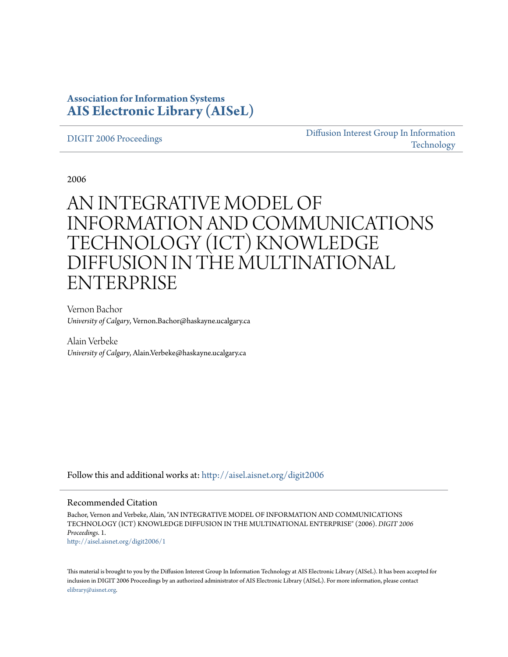### **Association for Information Systems [AIS Electronic Library \(AISeL\)](http://aisel.aisnet.org?utm_source=aisel.aisnet.org%2Fdigit2006%2F1&utm_medium=PDF&utm_campaign=PDFCoverPages)**

### [DIGIT 2006 Proceedings](http://aisel.aisnet.org/digit2006?utm_source=aisel.aisnet.org%2Fdigit2006%2F1&utm_medium=PDF&utm_campaign=PDFCoverPages)

[Diffusion Interest Group In Information](http://aisel.aisnet.org/digit?utm_source=aisel.aisnet.org%2Fdigit2006%2F1&utm_medium=PDF&utm_campaign=PDFCoverPages) [Technology](http://aisel.aisnet.org/digit?utm_source=aisel.aisnet.org%2Fdigit2006%2F1&utm_medium=PDF&utm_campaign=PDFCoverPages)

2006

# AN INTEGRATIVE MODEL OF INFORMATION AND COMMUNICATIONS TECHNOLOGY (ICT) KNOWLEDGE DIFFUSION IN THE MULTINATIONAL ENTERPRISE

Vernon Bachor *University of Calgary*, Vernon.Bachor@haskayne.ucalgary.ca

Alain Verbeke *University of Calgary*, Alain.Verbeke@haskayne.ucalgary.ca

Follow this and additional works at: [http://aisel.aisnet.org/digit2006](http://aisel.aisnet.org/digit2006?utm_source=aisel.aisnet.org%2Fdigit2006%2F1&utm_medium=PDF&utm_campaign=PDFCoverPages)

### Recommended Citation

Bachor, Vernon and Verbeke, Alain, "AN INTEGRATIVE MODEL OF INFORMATION AND COMMUNICATIONS TECHNOLOGY (ICT) KNOWLEDGE DIFFUSION IN THE MULTINATIONAL ENTERPRISE" (2006). *DIGIT 2006 Proceedings*. 1. [http://aisel.aisnet.org/digit2006/1](http://aisel.aisnet.org/digit2006/1?utm_source=aisel.aisnet.org%2Fdigit2006%2F1&utm_medium=PDF&utm_campaign=PDFCoverPages)

This material is brought to you by the Diffusion Interest Group In Information Technology at AIS Electronic Library (AISeL). It has been accepted for inclusion in DIGIT 2006 Proceedings by an authorized administrator of AIS Electronic Library (AISeL). For more information, please contact [elibrary@aisnet.org.](mailto:elibrary@aisnet.org%3E)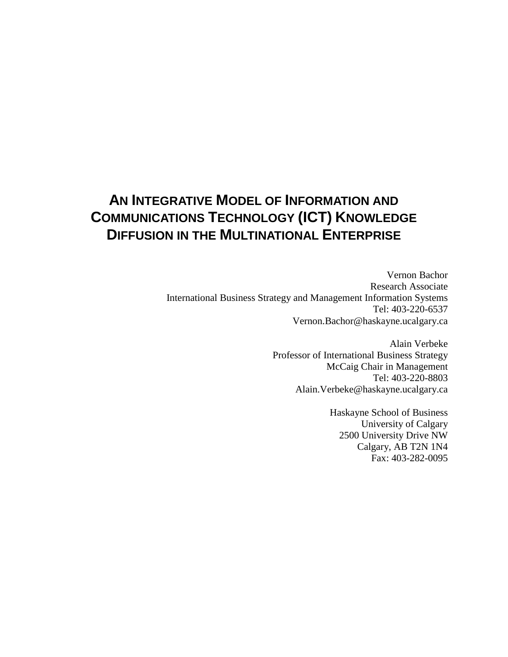## **AN INTEGRATIVE MODEL OF INFORMATION AND COMMUNICATIONS TECHNOLOGY (ICT) KNOWLEDGE DIFFUSION IN THE MULTINATIONAL ENTERPRISE**

Vernon Bachor Research Associate International Business Strategy and Management Information Systems Tel: 403-220-6537 Vernon.Bachor@haskayne.ucalgary.ca

> Alain Verbeke Professor of International Business Strategy McCaig Chair in Management Tel: 403-220-8803 Alain.Verbeke@haskayne.ucalgary.ca

> > Haskayne School of Business University of Calgary 2500 University Drive NW Calgary, AB T2N 1N4 Fax: 403-282-0095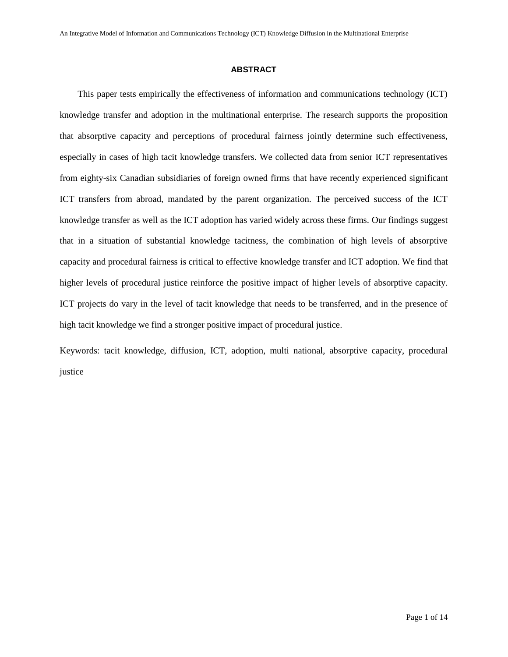### **ABSTRACT**

This paper tests empirically the effectiveness of information and communications technology (ICT) knowledge transfer and adoption in the multinational enterprise. The research supports the proposition that absorptive capacity and perceptions of procedural fairness jointly determine such effectiveness, especially in cases of high tacit knowledge transfers. We collected data from senior ICT representatives from eighty-six Canadian subsidiaries of foreign owned firms that have recently experienced significant ICT transfers from abroad, mandated by the parent organization. The perceived success of the ICT knowledge transfer as well as the ICT adoption has varied widely across these firms. Our findings suggest that in a situation of substantial knowledge tacitness, the combination of high levels of absorptive capacity and procedural fairness is critical to effective knowledge transfer and ICT adoption. We find that higher levels of procedural justice reinforce the positive impact of higher levels of absorptive capacity. ICT projects do vary in the level of tacit knowledge that needs to be transferred, and in the presence of high tacit knowledge we find a stronger positive impact of procedural justice.

Keywords: tacit knowledge, diffusion, ICT, adoption, multi national, absorptive capacity, procedural justice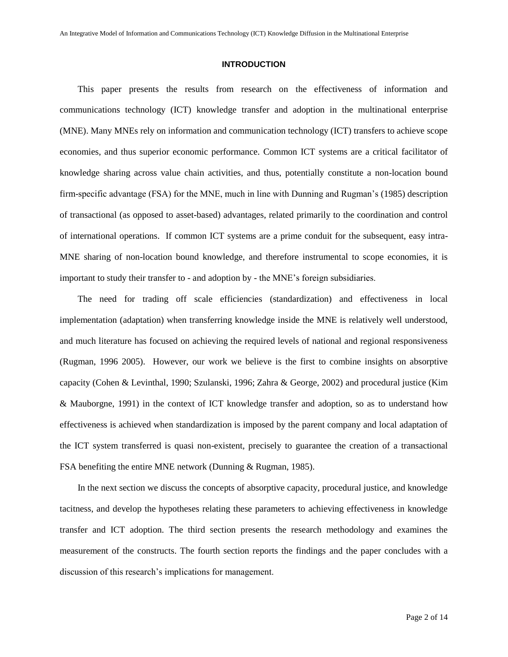### **INTRODUCTION**

This paper presents the results from research on the effectiveness of information and communications technology (ICT) knowledge transfer and adoption in the multinational enterprise (MNE). Many MNEs rely on information and communication technology (ICT) transfers to achieve scope economies, and thus superior economic performance. Common ICT systems are a critical facilitator of knowledge sharing across value chain activities, and thus, potentially constitute a non-location bound firm-specific advantage (FSA) for the MNE, much in line with Dunning and Rugman's (1985) description of transactional (as opposed to asset-based) advantages, related primarily to the coordination and control of international operations. If common ICT systems are a prime conduit for the subsequent, easy intra-MNE sharing of non-location bound knowledge, and therefore instrumental to scope economies, it is important to study their transfer to - and adoption by - the MNE's foreign subsidiaries.

The need for trading off scale efficiencies (standardization) and effectiveness in local implementation (adaptation) when transferring knowledge inside the MNE is relatively well understood, and much literature has focused on achieving the required levels of national and regional responsiveness (Rugman, 1996 2005). However, our work we believe is the first to combine insights on absorptive capacity (Cohen & Levinthal, 1990; Szulanski, 1996; Zahra & George, 2002) and procedural justice (Kim & Mauborgne, 1991) in the context of ICT knowledge transfer and adoption, so as to understand how effectiveness is achieved when standardization is imposed by the parent company and local adaptation of the ICT system transferred is quasi non-existent, precisely to guarantee the creation of a transactional FSA benefiting the entire MNE network (Dunning & Rugman, 1985).

In the next section we discuss the concepts of absorptive capacity, procedural justice, and knowledge tacitness, and develop the hypotheses relating these parameters to achieving effectiveness in knowledge transfer and ICT adoption. The third section presents the research methodology and examines the measurement of the constructs. The fourth section reports the findings and the paper concludes with a discussion of this research's implications for management.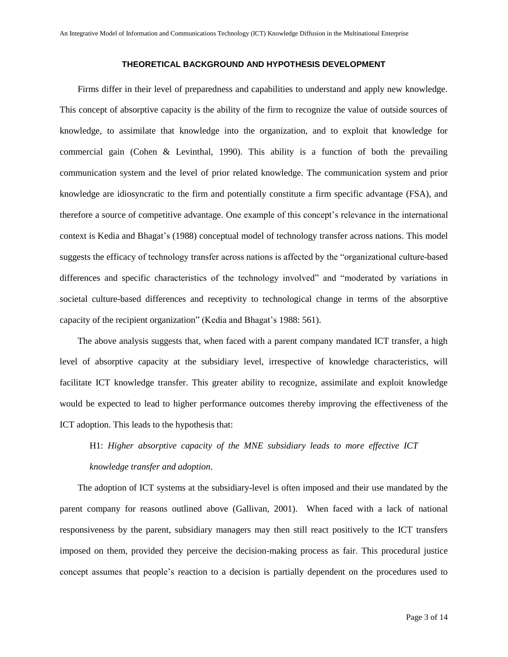### **THEORETICAL BACKGROUND AND HYPOTHESIS DEVELOPMENT**

Firms differ in their level of preparedness and capabilities to understand and apply new knowledge. This concept of absorptive capacity is the ability of the firm to recognize the value of outside sources of knowledge, to assimilate that knowledge into the organization, and to exploit that knowledge for commercial gain (Cohen & Levinthal, 1990). This ability is a function of both the prevailing communication system and the level of prior related knowledge. The communication system and prior knowledge are idiosyncratic to the firm and potentially constitute a firm specific advantage (FSA), and therefore a source of competitive advantage. One example of this concept's relevance in the international context is Kedia and Bhagat's(1988) conceptual model of technology transfer across nations. This model suggests the efficacy of technology transfer across nations is affected by the "organizational culture-based" differences and specific characteristics of the technology involved" and "moderated by variations in societal culture-based differences and receptivity to technological change in terms of the absorptive capacity of the recipient organization" (Kedia and Bhagat's 1988: 561).

The above analysis suggests that, when faced with a parent company mandated ICT transfer, a high level of absorptive capacity at the subsidiary level, irrespective of knowledge characteristics, will facilitate ICT knowledge transfer. This greater ability to recognize, assimilate and exploit knowledge would be expected to lead to higher performance outcomes thereby improving the effectiveness of the ICT adoption. This leads to the hypothesis that:

### H1: *Higher absorptive capacity of the MNE subsidiary leads to more effective ICT knowledge transfer and adoption*.

The adoption of ICT systems at the subsidiary-level is often imposed and their use mandated by the parent company for reasons outlined above (Gallivan, 2001). When faced with a lack of national responsiveness by the parent, subsidiary managers may then still react positively to the ICT transfers imposed on them, provided they perceive the decision-making process as fair. This procedural justice concept assumes that people's reaction to a decision is partially dependent on the procedures used to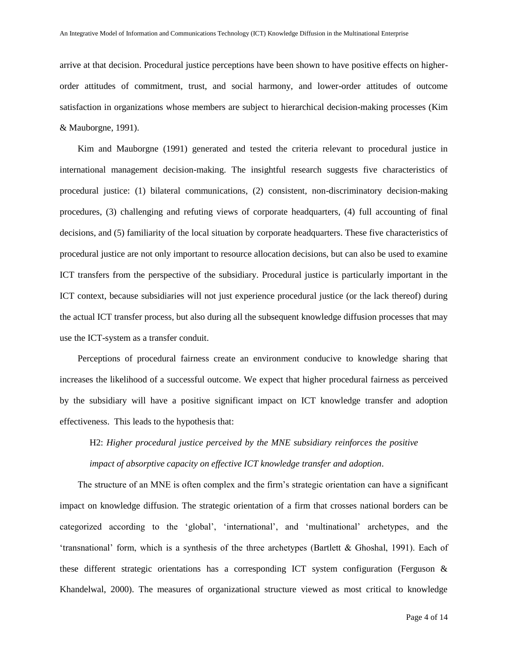arrive at that decision. Procedural justice perceptions have been shown to have positive effects on higherorder attitudes of commitment, trust, and social harmony, and lower-order attitudes of outcome satisfaction in organizations whose members are subject to hierarchical decision-making processes (Kim & Mauborgne, 1991).

Kim and Mauborgne (1991) generated and tested the criteria relevant to procedural justice in international management decision-making. The insightful research suggests five characteristics of procedural justice: (1) bilateral communications, (2) consistent, non-discriminatory decision-making procedures, (3) challenging and refuting views of corporate headquarters, (4) full accounting of final decisions, and (5) familiarity of the local situation by corporate headquarters. These five characteristics of procedural justice are not only important to resource allocation decisions, but can also be used to examine ICT transfers from the perspective of the subsidiary. Procedural justice is particularly important in the ICT context, because subsidiaries will not just experience procedural justice (or the lack thereof) during the actual ICT transfer process, but also during all the subsequent knowledge diffusion processes that may use the ICT-system as a transfer conduit.

Perceptions of procedural fairness create an environment conducive to knowledge sharing that increases the likelihood of a successful outcome. We expect that higher procedural fairness as perceived by the subsidiary will have a positive significant impact on ICT knowledge transfer and adoption effectiveness. This leads to the hypothesis that:

H2: *Higher procedural justice perceived by the MNE subsidiary reinforces the positive impact of absorptive capacity on effective ICT knowledge transfer and adoption*.

The structure of an MNE is often complex and the firm's strategic orientation can have a significant impact on knowledge diffusion. The strategic orientation of a firm that crosses national borders can be categorized according to the 'global', 'international', and 'multinational' archetypes, and the 'transnational' form, which is a synthesis of the three archetypes (Bartlett  $&$  Ghoshal, 1991). Each of these different strategic orientations has a corresponding ICT system configuration (Ferguson & Khandelwal, 2000). The measures of organizational structure viewed as most critical to knowledge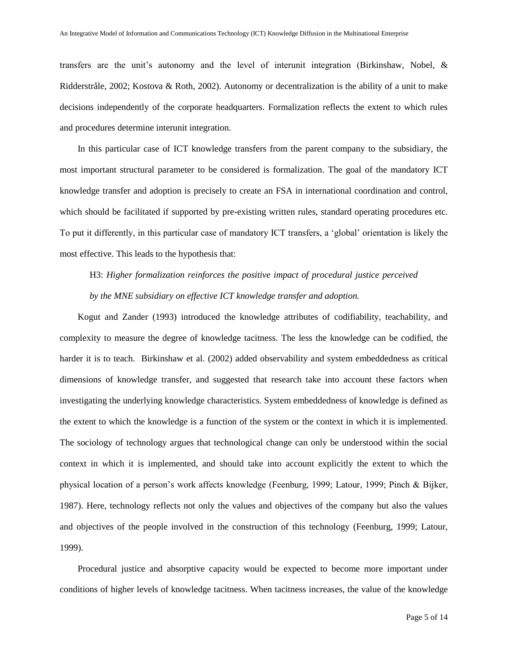transfers are the unit's autonomy and the level of interunitintegration (Birkinshaw, Nobel,  $\&$ Ridderstråle, 2002; Kostova & Roth, 2002). Autonomy or decentralization is the ability of a unit to make decisions independently of the corporate headquarters. Formalization reflects the extent to which rules and procedures determine interunit integration.

In this particular case of ICT knowledge transfers from the parent company to the subsidiary, the most important structural parameter to be considered is formalization. The goal of the mandatory ICT knowledge transfer and adoption is precisely to create an FSA in international coordination and control, which should be facilitated if supported by pre-existing written rules, standard operating procedures etc. To put it differently, in this particular case of mandatory ICT transfers, a 'global' orientation is likely the most effective. This leads to the hypothesis that:

H3: *Higher formalization reinforces the positive impact of procedural justice perceived by the MNE subsidiary on effective ICT knowledge transfer and adoption.*

Kogut and Zander (1993) introduced the knowledge attributes of codifiability, teachability, and complexity to measure the degree of knowledge tacitness. The less the knowledge can be codified, the harder it is to teach. Birkinshaw et al. (2002) added observability and system embeddedness as critical dimensions of knowledge transfer, and suggested that research take into account these factors when investigating the underlying knowledge characteristics. System embeddedness of knowledge is defined as the extent to which the knowledge is a function of the system or the context in which it is implemented. The sociology of technology argues that technological change can only be understood within the social context in which it is implemented, and should take into account explicitly the extent to which the physical location of a person's work affects knowledge (Feenburg, 1999; Latour, 1999; Pinch & Bijker, 1987). Here, technology reflects not only the values and objectives of the company but also the values and objectives of the people involved in the construction of this technology (Feenburg, 1999; Latour, 1999).

Procedural justice and absorptive capacity would be expected to become more important under conditions of higher levels of knowledge tacitness. When tacitness increases, the value of the knowledge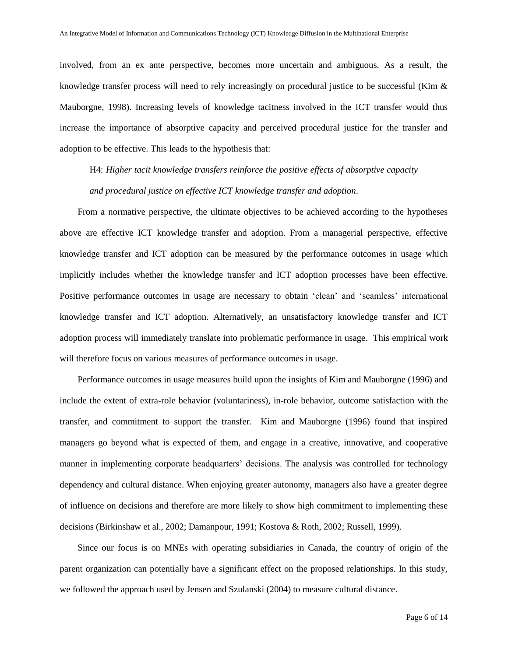involved, from an ex ante perspective, becomes more uncertain and ambiguous. As a result, the knowledge transfer process will need to rely increasingly on procedural justice to be successful (Kim & Mauborgne, 1998). Increasing levels of knowledge tacitness involved in the ICT transfer would thus increase the importance of absorptive capacity and perceived procedural justice for the transfer and adoption to be effective. This leads to the hypothesis that:

H4: *Higher tacit knowledge transfers reinforce the positive effects of absorptive capacity and procedural justice on effective ICT knowledge transfer and adoption*.

From a normative perspective, the ultimate objectives to be achieved according to the hypotheses above are effective ICT knowledge transfer and adoption. From a managerial perspective, effective knowledge transfer and ICT adoption can be measured by the performance outcomes in usage which implicitly includes whether the knowledge transfer and ICT adoption processes have been effective. Positive performance outcomes in usage are necessary to obtain 'clean' and 'seamless' international knowledge transfer and ICT adoption. Alternatively, an unsatisfactory knowledge transfer and ICT adoption process will immediately translate into problematic performance in usage. This empirical work will therefore focus on various measures of performance outcomes in usage.

Performance outcomes in usage measures build upon the insights of Kim and Mauborgne (1996) and include the extent of extra-role behavior (voluntariness), in-role behavior, outcome satisfaction with the transfer, and commitment to support the transfer. Kim and Mauborgne (1996) found that inspired managers go beyond what is expected of them, and engage in a creative, innovative, and cooperative manner in implementing corporate headquarters' decisions. The analysis was controlled for technology dependency and cultural distance. When enjoying greater autonomy, managers also have a greater degree of influence on decisions and therefore are more likely to show high commitment to implementing these decisions (Birkinshaw et al., 2002; Damanpour, 1991; Kostova & Roth, 2002; Russell, 1999).

Since our focus is on MNEs with operating subsidiaries in Canada, the country of origin of the parent organization can potentially have a significant effect on the proposed relationships. In this study, we followed the approach used by Jensen and Szulanski (2004) to measure cultural distance.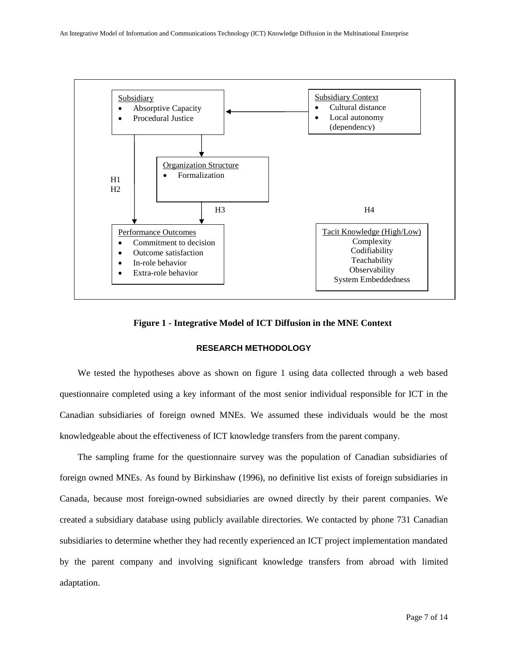

### **Figure 1 - Integrative Model of ICT Diffusion in the MNE Context**

### **RESEARCH METHODOLOGY**

We tested the hypotheses above as shown on figure 1 using data collected through a web based questionnaire completed using a key informant of the most senior individual responsible for ICT in the Canadian subsidiaries of foreign owned MNEs. We assumed these individuals would be the most knowledgeable about the effectiveness of ICT knowledge transfers from the parent company.

The sampling frame for the questionnaire survey was the population of Canadian subsidiaries of foreign owned MNEs. As found by Birkinshaw (1996), no definitive list exists of foreign subsidiaries in Canada, because most foreign-owned subsidiaries are owned directly by their parent companies. We created a subsidiary database using publicly available directories. We contacted by phone 731 Canadian subsidiaries to determine whether they had recently experienced an ICT project implementation mandated by the parent company and involving significant knowledge transfers from abroad with limited adaptation.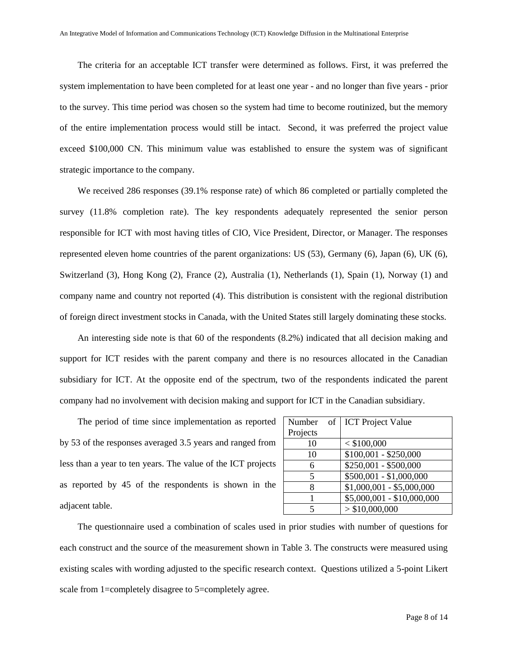The criteria for an acceptable ICT transfer were determined as follows. First, it was preferred the system implementation to have been completed for at least one year - and no longer than five years - prior to the survey. This time period was chosen so the system had time to become routinized, but the memory of the entire implementation process would still be intact. Second, it was preferred the project value exceed \$100,000 CN. This minimum value was established to ensure the system was of significant strategic importance to the company.

We received 286 responses (39.1% response rate) of which 86 completed or partially completed the survey (11.8% completion rate). The key respondents adequately represented the senior person responsible for ICT with most having titles of CIO, Vice President, Director, or Manager. The responses represented eleven home countries of the parent organizations: US (53), Germany (6), Japan (6), UK (6), Switzerland (3), Hong Kong (2), France (2), Australia (1), Netherlands (1), Spain (1), Norway (1) and company name and country not reported (4). This distribution is consistent with the regional distribution of foreign direct investment stocks in Canada, with the United States still largely dominating these stocks.

An interesting side note is that 60 of the respondents (8.2%) indicated that all decision making and support for ICT resides with the parent company and there is no resources allocated in the Canadian subsidiary for ICT. At the opposite end of the spectrum, two of the respondents indicated the parent company had no involvement with decision making and support for ICT in the Canadian subsidiary.

The period of time since implementation as reported by 53 of the responses averaged 3.5 years and ranged from less than a year to ten years. The value of the ICT projects as reported by 45 of the respondents is shown in the adjacent table.

| Number                   | of | <b>ICT</b> Project Value          |
|--------------------------|----|-----------------------------------|
| Projects                 |    |                                   |
| 10                       |    | $<$ \$100,000                     |
| 10                       |    | $\overline{$100,001}$ - \$250,000 |
| 6                        |    | \$250,001 - \$500,000             |
| $\overline{\phantom{0}}$ |    | $$500,001 - $1,000,000$           |
| 8                        |    | $$1,000,001 - $5,000,000$         |
| 1                        |    | $$5,000,001 - $10,000,000$        |
| 5                        |    | > \$10,000,000                    |

The questionnaire used a combination of scales used in prior studies with number of questions for each construct and the source of the measurement shown in Table 3. The constructs were measured using existing scales with wording adjusted to the specific research context. Questions utilized a 5-point Likert scale from 1=completely disagree to 5=completely agree.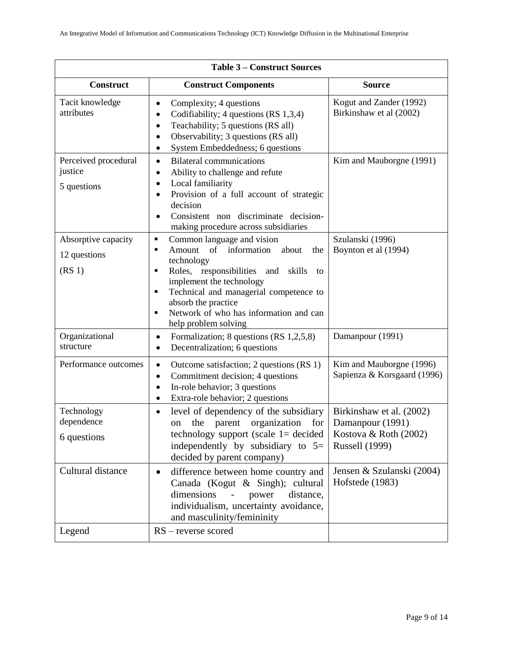| <b>Table 3 – Construct Sources</b>                        |                                                                                                                                                                                                                                                                                                                             |                                                                                                |  |  |  |
|-----------------------------------------------------------|-----------------------------------------------------------------------------------------------------------------------------------------------------------------------------------------------------------------------------------------------------------------------------------------------------------------------------|------------------------------------------------------------------------------------------------|--|--|--|
| <b>Construct</b>                                          | <b>Construct Components</b>                                                                                                                                                                                                                                                                                                 | <b>Source</b>                                                                                  |  |  |  |
| Tacit knowledge<br>attributes                             | Complexity; 4 questions<br>$\bullet$<br>Codifiability; 4 questions (RS 1,3,4)<br>$\bullet$<br>Teachability; 5 questions (RS all)<br>$\bullet$<br>Observability; 3 questions (RS all)<br>$\bullet$<br>System Embeddedness; 6 questions                                                                                       | Kogut and Zander (1992)<br>Birkinshaw et al (2002)                                             |  |  |  |
| Perceived procedural<br>justice<br>5 questions            | <b>Bilateral communications</b><br>$\bullet$<br>Ability to challenge and refute<br>$\bullet$<br>Local familiarity<br>٠<br>Provision of a full account of strategic<br>٠<br>decision<br>Consistent non discriminate decision-<br>$\bullet$<br>making procedure across subsidiaries                                           | Kim and Mauborgne (1991)                                                                       |  |  |  |
| Absorptive capacity<br>12 questions<br>(RS <sub>1</sub> ) | Common language and vision<br>٠<br>Amount of information<br>about<br>the<br>П<br>technology<br>Roles, responsibilities<br>and<br>skills<br>п<br>to<br>implement the technology<br>Technical and managerial competence to<br>П<br>absorb the practice<br>Network of who has information and can<br>Ξ<br>help problem solving | Szulanski (1996)<br>Boynton et al (1994)                                                       |  |  |  |
| Organizational<br>structure                               | Formalization; 8 questions (RS 1,2,5,8)<br>٠<br>Decentralization; 6 questions<br>$\bullet$                                                                                                                                                                                                                                  | Damanpour (1991)                                                                               |  |  |  |
| Performance outcomes                                      | Outcome satisfaction; 2 questions (RS 1)<br>$\bullet$<br>Commitment decision; 4 questions<br>$\bullet$<br>In-role behavior; 3 questions<br>$\bullet$<br>Extra-role behavior; 2 questions<br>$\bullet$                                                                                                                       | Kim and Mauborgne (1996)<br>Sapienza & Korsgaard (1996)                                        |  |  |  |
| Technology<br>dependence<br>6 questions                   | level of dependency of the subsidiary<br>$\bullet$<br>organization<br>the<br>parent<br>for<br>on<br>technology support (scale $1=$ decided<br>independently by subsidiary to $5=$<br>decided by parent company)                                                                                                             | Birkinshaw et al. (2002)<br>Damanpour (1991)<br>Kostova & Roth (2002)<br><b>Russell</b> (1999) |  |  |  |
| Cultural distance                                         | difference between home country and<br>$\bullet$<br>Canada (Kogut & Singh); cultural<br>dimensions<br>distance,<br>power<br>individualism, uncertainty avoidance,<br>and masculinity/femininity                                                                                                                             | Jensen & Szulanski (2004)<br>Hofstede (1983)                                                   |  |  |  |
| Legend                                                    | $RS$ – reverse scored                                                                                                                                                                                                                                                                                                       |                                                                                                |  |  |  |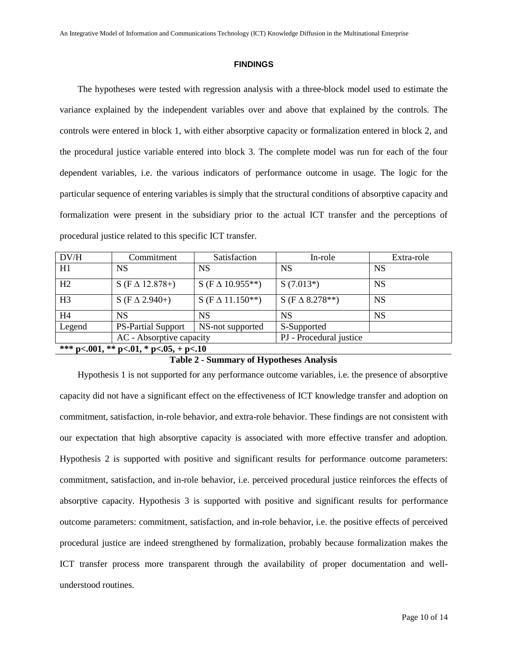### **FINDINGS**

The hypotheses were tested with regression analysis with a three-block model used to estimate the variance explained by the independent variables over and above that explained by the controls. The controls were entered in block 1, with either absorptive capacity or formalization entered in block 2, and the procedural justice variable entered into block 3. The complete model was run for each of the four dependent variables, i.e. the various indicators of performance outcome in usage. The logic for the particular sequence of entering variables is simply that the structural conditions of absorptive capacity and formalization were present in the subsidiary prior to the actual ICT transfer and the perceptions of procedural justice related to this specific ICT transfer.

| DV/H                                   | Commitment                | Satisfaction              | In-role                  | Extra-role |  |  |
|----------------------------------------|---------------------------|---------------------------|--------------------------|------------|--|--|
| H1                                     | <b>NS</b>                 | <b>NS</b>                 | NS                       | <b>NS</b>  |  |  |
| H2                                     | $S$ (F $\Delta$ 12.878+)  | $S$ (F $\Delta$ 10.955**) | $S(7.013*)$              | <b>NS</b>  |  |  |
| H <sub>3</sub>                         | $S$ (F $\Delta$ 2.940+)   | $S$ (F $\Delta$ 11.150**) | $S$ (F $\Delta$ 8.278**) | <b>NS</b>  |  |  |
| H <sub>4</sub>                         | <b>NS</b>                 | <b>NS</b>                 | NS                       | <b>NS</b>  |  |  |
| Legend                                 | <b>PS-Partial Support</b> | NS-not supported          | S-Supported              |            |  |  |
|                                        | AC - Absorptive capacity  |                           | PJ - Procedural justice  |            |  |  |
| *** p<.001, ** p<.01, * p<.05, + p<.10 |                           |                           |                          |            |  |  |

### **Table 2 - Summary of Hypotheses Analysis**

Hypothesis 1 is not supported for any performance outcome variables, i.e. the presence of absorptive capacity did not have a significant effect on the effectiveness of ICT knowledge transfer and adoption on commitment, satisfaction, in-role behavior, and extra-role behavior. These findings are not consistent with our expectation that high absorptive capacity is associated with more effective transfer and adoption. Hypothesis 2 is supported with positive and significant results for performance outcome parameters: commitment, satisfaction, and in-role behavior, i.e. perceived procedural justice reinforces the effects of absorptive capacity. Hypothesis 3 is supported with positive and significant results for performance outcome parameters: commitment, satisfaction, and in-role behavior, i.e. the positive effects of perceived procedural justice are indeed strengthened by formalization, probably because formalization makes the ICT transfer process more transparent through the availability of proper documentation and wellunderstood routines.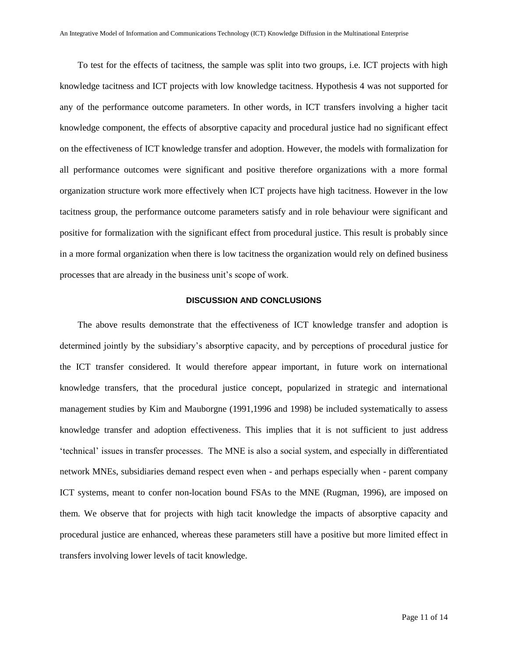To test for the effects of tacitness, the sample was split into two groups, i.e. ICT projects with high knowledge tacitness and ICT projects with low knowledge tacitness. Hypothesis 4 was not supported for any of the performance outcome parameters. In other words, in ICT transfers involving a higher tacit knowledge component, the effects of absorptive capacity and procedural justice had no significant effect on the effectiveness of ICT knowledge transfer and adoption. However, the models with formalization for all performance outcomes were significant and positive therefore organizations with a more formal organization structure work more effectively when ICT projects have high tacitness. However in the low tacitness group, the performance outcome parameters satisfy and in role behaviour were significant and positive for formalization with the significant effect from procedural justice. This result is probably since in a more formal organization when there is low tacitness the organization would rely on defined business processes that are already in the business unit's scope of work.

### **DISCUSSION AND CONCLUSIONS**

The above results demonstrate that the effectiveness of ICT knowledge transfer and adoption is determined jointly by the subsidiary's absorptive capacity, and by perceptions of procedural justice for the ICT transfer considered. It would therefore appear important, in future work on international knowledge transfers, that the procedural justice concept, popularized in strategic and international management studies by Kim and Mauborgne (1991,1996 and 1998) be included systematically to assess knowledge transfer and adoption effectiveness. This implies that it is not sufficient to just address 'technical'issuesintransferprocesses.TheMNEisalsoasocialsystem,andespeciallyindifferentiated network MNEs, subsidiaries demand respect even when - and perhaps especially when - parent company ICT systems, meant to confer non-location bound FSAs to the MNE (Rugman, 1996), are imposed on them. We observe that for projects with high tacit knowledge the impacts of absorptive capacity and procedural justice are enhanced, whereas these parameters still have a positive but more limited effect in transfers involving lower levels of tacit knowledge.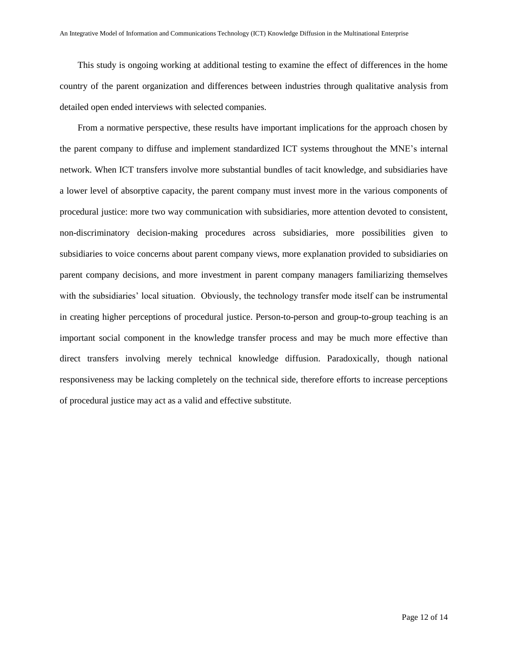This study is ongoing working at additional testing to examine the effect of differences in the home country of the parent organization and differences between industries through qualitative analysis from detailed open ended interviews with selected companies.

From a normative perspective, these results have important implications for the approach chosen by the parent company to diffuse and implement standardized ICT systems throughout the MNE'sinternal network. When ICT transfers involve more substantial bundles of tacit knowledge, and subsidiaries have a lower level of absorptive capacity, the parent company must invest more in the various components of procedural justice: more two way communication with subsidiaries, more attention devoted to consistent, non-discriminatory decision-making procedures across subsidiaries, more possibilities given to subsidiaries to voice concerns about parent company views, more explanation provided to subsidiaries on parent company decisions, and more investment in parent company managers familiarizing themselves with the subsidiaries' local situation. Obviously, the technology transfer mode itself can be instrumental in creating higher perceptions of procedural justice. Person-to-person and group-to-group teaching is an important social component in the knowledge transfer process and may be much more effective than direct transfers involving merely technical knowledge diffusion. Paradoxically, though national responsiveness may be lacking completely on the technical side, therefore efforts to increase perceptions of procedural justice may act as a valid and effective substitute.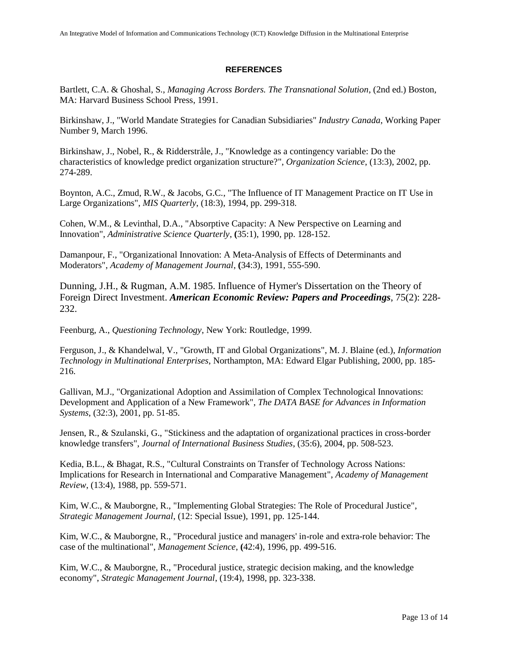### **REFERENCES**

Bartlett, C.A. & Ghoshal, S., *Managing Across Borders. The Transnational Solution*, (2nd ed.) Boston, MA: Harvard Business School Press, 1991.

Birkinshaw, J., "World Mandate Strategies for Canadian Subsidiaries" *Industry Canada*, Working Paper Number 9, March 1996.

Birkinshaw, J., Nobel, R., & Ridderstråle, J., "Knowledge as a contingency variable: Do the characteristics of knowledge predict organization structure?", *Organization Science*, (13:3), 2002, pp. 274-289.

Boynton, A.C., Zmud, R.W., & Jacobs, G.C., "The Influence of IT Management Practice on IT Use in Large Organizations", *MIS Quarterly*, (18:3), 1994, pp. 299-318.

Cohen, W.M., & Levinthal, D.A., "Absorptive Capacity: A New Perspective on Learning and Innovation", *Administrative Science Quarterly*, **(**35:1), 1990, pp. 128-152.

Damanpour, F., "Organizational Innovation: A Meta-Analysis of Effects of Determinants and Moderators", *Academy of Management Journal*, **(**34:3), 1991, 555-590.

Dunning, J.H., & Rugman, A.M. 1985. Influence of Hymer's Dissertation on the Theory of Foreign Direct Investment. *American Economic Review: Papers and Proceedings*, 75(2): 228- 232.

Feenburg, A., *Questioning Technology*, New York: Routledge, 1999.

Ferguson, J., & Khandelwal, V., "Growth, IT and Global Organizations", M. J. Blaine (ed.), *Information Technology in Multinational Enterprises*, Northampton, MA: Edward Elgar Publishing, 2000, pp. 185- 216.

Gallivan, M.J., "Organizational Adoption and Assimilation of Complex Technological Innovations: Development and Application of a New Framework", *The DATA BASE for Advances in Information Systems*, (32:3), 2001, pp. 51-85.

Jensen, R., & Szulanski, G., "Stickiness and the adaptation of organizational practices in cross-border knowledge transfers", *Journal of International Business Studies*, (35:6), 2004, pp. 508-523.

Kedia, B.L., & Bhagat, R.S., "Cultural Constraints on Transfer of Technology Across Nations: Implications for Research in International and Comparative Management", *Academy of Management Review*, (13:4), 1988, pp. 559-571.

Kim, W.C., & Mauborgne, R., "Implementing Global Strategies: The Role of Procedural Justice", *Strategic Management Journal*, (12: Special Issue), 1991, pp. 125-144.

Kim, W.C., & Mauborgne, R., "Procedural justice and managers' in-role and extra-role behavior: The case of the multinational", *Management Science*, **(**42:4), 1996, pp. 499-516.

Kim, W.C., & Mauborgne, R., "Procedural justice, strategic decision making, and the knowledge economy", *Strategic Management Journal*, (19:4), 1998, pp. 323-338.